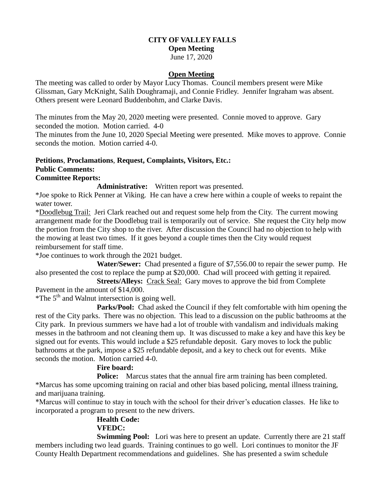# **CITY OF VALLEY FALLS**

### **Open Meeting**

June 17, 2020

### **Open Meeting**

The meeting was called to order by Mayor Lucy Thomas. Council members present were Mike Glissman, Gary McKnight, Salih Doughramaji, and Connie Fridley. Jennifer Ingraham was absent. Others present were Leonard Buddenbohm, and Clarke Davis.

The minutes from the May 20, 2020 meeting were presented. Connie moved to approve. Gary seconded the motion. Motion carried. 4-0

The minutes from the June 10, 2020 Special Meeting were presented. Mike moves to approve. Connie seconds the motion. Motion carried 4-0.

### **Petitions**, **Proclamations**, **Request, Complaints, Visitors, Etc.: Public Comments:**

**Committee Reports:**

**Administrative:** Written report was presented.

\*Joe spoke to Rick Penner at Viking. He can have a crew here within a couple of weeks to repaint the water tower.

\*Doodlebug Trail: Jeri Clark reached out and request some help from the City. The current mowing arrangement made for the Doodlebug trail is temporarily out of service. She request the City help mow the portion from the City shop to the river. After discussion the Council had no objection to help with the mowing at least two times. If it goes beyond a couple times then the City would request reimbursement for staff time.

\*Joe continues to work through the 2021 budget.

 **Water/Sewer:** Chad presented a figure of \$7,556.00 to repair the sewer pump. He also presented the cost to replace the pump at \$20,000. Chad will proceed with getting it repaired.

**Streets/Alleys:** Crack Seal: Gary moves to approve the bid from Complete Pavement in the amount of \$14,000.

\*The  $5<sup>th</sup>$  and Walnut intersection is going well.

 **Parks/Pool:** Chad asked the Council if they felt comfortable with him opening the rest of the City parks. There was no objection. This lead to a discussion on the public bathrooms at the City park. In previous summers we have had a lot of trouble with vandalism and individuals making messes in the bathroom and not cleaning them up. It was discussed to make a key and have this key be signed out for events. This would include a \$25 refundable deposit. Gary moves to lock the public bathrooms at the park, impose a \$25 refundable deposit, and a key to check out for events. Mike seconds the motion. Motion carried 4-0.

## **Fire board:**

**Police:** Marcus states that the annual fire arm training has been completed. \*Marcus has some upcoming training on racial and other bias based policing, mental illness training, and marijuana training.

\*Marcus will continue to stay in touch with the school for their driver's education classes. He like to incorporated a program to present to the new drivers.

#### **Health Code: VFEDC:**

**Swimming Pool:** Lori was here to present an update. Currently there are 21 staff members including two lead guards. Training continues to go well. Lori continues to monitor the JF County Health Department recommendations and guidelines. She has presented a swim schedule